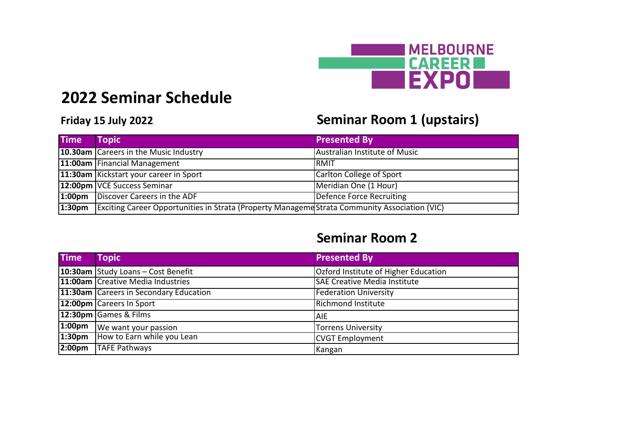

## **2022 Seminar Schedule**

### **Friday 15 July 2022 Seminar Room 1 (upstairs)**

| <b>Time</b>        | <b>Topic</b>                                                                                  | <b>Presented By</b>           |
|--------------------|-----------------------------------------------------------------------------------------------|-------------------------------|
|                    | 10.30am Careers in the Music Industry                                                         | Australian Institute of Music |
|                    | 11:00am Financial Management                                                                  | IRMIT                         |
|                    | 11:30am Kickstart your career in Sport                                                        | Carlton College of Sport      |
|                    | 12:00pm VCE Success Seminar                                                                   | Meridian One (1 Hour)         |
|                    | 1:00pm   Discover Careers in the ADF                                                          | Defence Force Recruiting      |
| 1:30 <sub>pm</sub> | Exciting Career Opportunities in Strata (Property Manageme Strata Community Association (VIC) |                               |

#### **Seminar Room 2**

| <b>Time</b>        | <b>Topic</b>                           | <b>Presented By</b>                  |
|--------------------|----------------------------------------|--------------------------------------|
|                    | 10:30am Study Loans - Cost Benefit     | Ozford Institute of Higher Education |
|                    | 11:00am Creative Media Industries      | <b>SAE Creative Media Institute</b>  |
|                    | 11:30am Careers in Secondary Education | <b>Federation University</b>         |
|                    | 12:00pm Careers In Sport               | Richmond Institute                   |
|                    | 12:30pm Games & Films                  | <b>AIE</b>                           |
|                    | 1:00pm   We want your passion          | Torrens University                   |
|                    | 1:30pm How to Earn while you Lean      | CVGT Employment                      |
| 2:00 <sub>pm</sub> | <b>TAFE Pathways</b>                   | Kangan                               |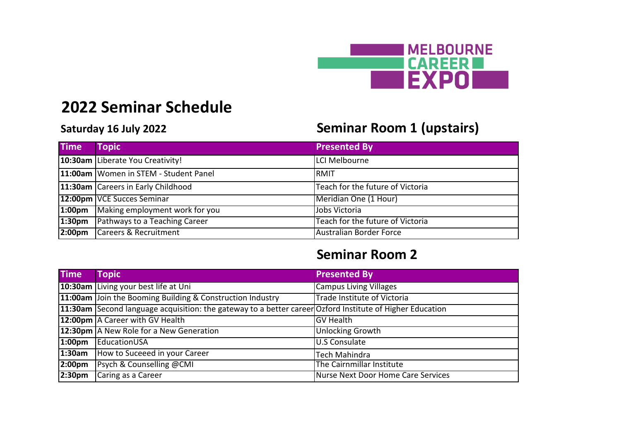

## **2022 Seminar Schedule**

### **Saturday 16 July 2022 Seminar Room 1 (upstairs)**

| <b>Time</b> | <b>Topic</b>                            | <b>Presented By</b>              |
|-------------|-----------------------------------------|----------------------------------|
|             | 10:30am Liberate You Creativity!        | <b>LCI Melbourne</b>             |
|             | 11:00am Women in STEM - Student Panel   | <b>RMIT</b>                      |
|             | 11:30am Careers in Early Childhood      | Teach for the future of Victoria |
|             | 12:00pm VCE Succes Seminar              | Meridian One (1 Hour)            |
|             | 1:00pm   Making employment work for you | <b>Jobs Victoria</b>             |
|             | 1:30pm Pathways to a Teaching Career    | Teach for the future of Victoria |
|             | 2:00pm Careers & Recruitment            | Australian Border Force          |

### **Seminar Room 2**

| <b>Time</b>        | <b>Topic</b>                                                                                             | <b>Presented By</b>                |
|--------------------|----------------------------------------------------------------------------------------------------------|------------------------------------|
|                    | 10:30am Living your best life at Uni                                                                     | <b>Campus Living Villages</b>      |
|                    | 11:00am Join the Booming Building & Construction Industry                                                | Trade Institute of Victoria        |
|                    | 11:30am Second language acquisition: the gateway to a better career Ozford Institute of Higher Education |                                    |
|                    | 12:00pm   A Career with GV Health                                                                        | <b>GV</b> Health                   |
|                    | 12:30pm   A New Role for a New Generation                                                                | <b>Unlocking Growth</b>            |
| 1:00 <sub>pm</sub> | EducationUSA                                                                                             | U.S Consulate                      |
| 1:30am             | How to Suceeed in your Career                                                                            | <b>Tech Mahindra</b>               |
| 2:00 <sub>pm</sub> | Psych & Counselling @CMI                                                                                 | The Cairnmillar Institute          |
| 2:30 <sub>pm</sub> | Caring as a Career                                                                                       | Nurse Next Door Home Care Services |